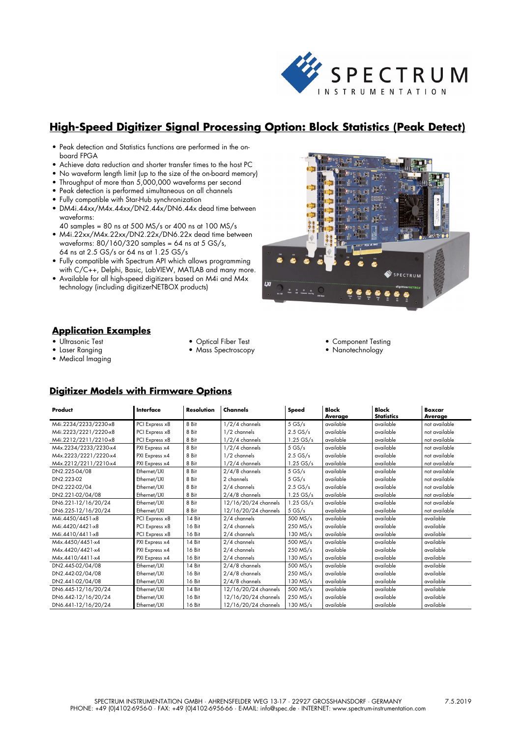

# **High-Speed Digitizer Signal Processing Option: Block Statistics (Peak Detect)**

- Peak detection and Statistics functions are performed in the onboard FPGA
- Achieve data reduction and shorter transfer times to the host PC
- No waveform length limit (up to the size of the on-board memory)
- Throughput of more than 5,000,000 waveforms per second
- Peak detection is performed simultaneous on all channels
- Fully compatible with Star-Hub synchronization
- DM4i.44xx/M4x.44xx/DN2.44x/DN6.44x dead time between waveforms:
- 40 samples = 80 ns at 500 MS/s or 400 ns at 100 MS/s
- M4i.22xx/M4x.22xx/DN2.22x/DN6.22x dead time between waveforms: 80/160/320 samples = 64 ns at 5 GS/s, 64 ns at 2.5 GS/s or 64 ns at 1.25 GS/s
- Fully compatible with Spectrum API which allows programming with C/C++, Delphi, Basic, LabVIEW, MATLAB and many more.
- Available for all high-speed digitizers based on M4i and M4x technology (including digitizerNETBOX products)



#### **Application Examples**

- Ultrasonic Test
- Laser Ranging
- Medical Imaging
- Optical Fiber Test
- Mass Spectroscopy
- Component Testing
- Nanotechnology

#### **Digitizer Models with Firmware Options**

| Product               | Interface      | <b>Resolution</b> | Channels             | Speed       | <b>Block</b><br>Average | <b>Block</b><br><b>Statistics</b> | <b>Boxcar</b><br>Average |
|-----------------------|----------------|-------------------|----------------------|-------------|-------------------------|-----------------------------------|--------------------------|
| M4i.2234/2233/2230-x8 | PCI Express x8 | 8 Bit             | $1/2/4$ channels     | 5GS/s       | available               | available                         | not available            |
| M4i.2223/2221/2220-x8 | PCI Express x8 | 8 Bit             | 1/2 channels         | $2.5$ GS/s  | available               | available                         | not available            |
| M4i.2212/2211/2210-x8 | PCI Express x8 | 8 Bit             | $1/2/4$ channels     | 1.25 GS/s   | available               | available                         | not available            |
| M4x.2234/2233/2230-x4 | PXI Express x4 | 8 Bit             | $1/2/4$ channels     | $5$ GS/s    | available               | available                         | not available            |
| M4x.2223/2221/2220-x4 | PXI Express x4 | 8 Bit             | 1/2 channels         | $2.5$ GS/s  | available               | available                         | not available            |
| M4x.2212/2211/2210-x4 | PXI Express x4 | 8 Bit             | $1/2/4$ channels     | $1.25$ GS/s | available               | available                         | not available            |
| DN2.225-04/08         | Ethernet/LXI   | 8 Bit             | $2/4/8$ channels     | $5$ GS/s    | available               | available                         | not available            |
| DN2.223-02            | Ethernet/LXI   | 8 Bit             | 2 channels           | $5$ GS/s    | available               | available                         | not available            |
| DN2.222-02/04         | Ethernet/LXI   | 8 Bit             | 2/4 channels         | $2.5$ GS/s  | available               | available                         | not available            |
| DN2.221-02/04/08      | Ethernet/LXI   | 8 Bit             | $2/4/8$ channels     | $1.25$ GS/s | available               | available                         | not available            |
| DN6.221-12/16/20/24   | Ethernet/LXI   | 8 Bit             | 12/16/20/24 channels | $1.25$ GS/s | available               | available                         | not available            |
| DN6.225-12/16/20/24   | Ethernet/LXI   | 8 Bit             | 12/16/20/24 channels | $5$ GS/s    | available               | available                         | not available            |
| M4i.4450/4451-x8      | PCI Express x8 | 14 Bit            | 2/4 channels         | 500 MS/s    | available               | available                         | available                |
| M4i.4420/4421-x8      | PCI Express x8 | 16 Bit            | 2/4 channels         | $250$ MS/s  | available               | available                         | available                |
| M4i.4410/4411-x8      | PCI Express x8 | 16 Bit            | 2/4 channels         | $130$ MS/s  | available               | available                         | available                |
| M4x.4450/4451-x4      | PXI Express x4 | 14 Bit            | 2/4 channels         | 500 MS/s    | available               | available                         | available                |
| M4x.4420/4421-x4      | PXI Express x4 | 16 Bit            | 2/4 channels         | 250 MS/s    | available               | available                         | available                |
| M4x.4410/4411-x4      | PXI Express x4 | 16 Bit            | 2/4 channels         | 130 MS/s    | available               | available                         | available                |
| DN2.445-02/04/08      | Ethernet/LXI   | 14 Bit            | $2/4/8$ channels     | 500 MS/s    | available               | available                         | available                |
| DN2.442-02/04/08      | Ethernet/LXI   | 16 Bit            | $2/4/8$ channels     | 250 MS/s    | available               | available                         | available                |
| DN2.441-02/04/08      | Ethernet/LXI   | 16 Bit            | $2/4/8$ channels     | $130$ MS/s  | available               | available                         | available                |
| DN6.445-12/16/20/24   | Ethernet/LXI   | 14 Bit            | 12/16/20/24 channels | 500 MS/s    | available               | available                         | available                |
| DN6.442-12/16/20/24   | Ethernet/LXI   | 16 Bit            | 12/16/20/24 channels | 250 MS/s    | available               | available                         | available                |
| DN6.441-12/16/20/24   | Ethernet/LXI   | 16 Bit            | 12/16/20/24 channels | 130 MS/s    | available               | available                         | available                |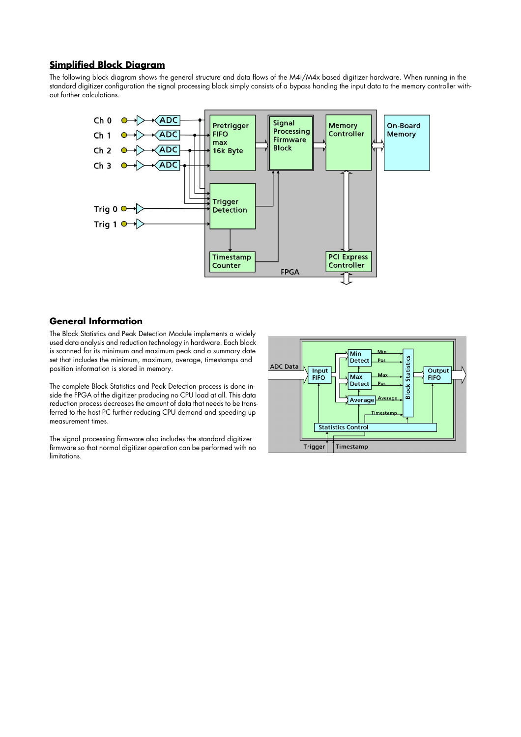#### **Simplified Block Diagram**

The following block diagram shows the general structure and data flows of the M4i/M4x based digitizer hardware. When running in the standard digitizer configuration the signal processing block simply consists of a bypass handing the input data to the memory controller without further calculations.



# **General Information**

The Block Statistics and Peak Detection Module implements a widely used data analysis and reduction technology in hardware. Each block is scanned for its minimum and maximum peak and a summary date set that includes the minimum, maximum, average, timestamps and position information is stored in memory.

The complete Block Statistics and Peak Detection process is done inside the FPGA of the digitizer producing no CPU load at all. This data reduction process decreases the amount of data that needs to be transferred to the host PC further reducing CPU demand and speeding up measurement times.

The signal processing firmware also includes the standard digitizer firmware so that normal digitizer operation can be performed with no limitations.